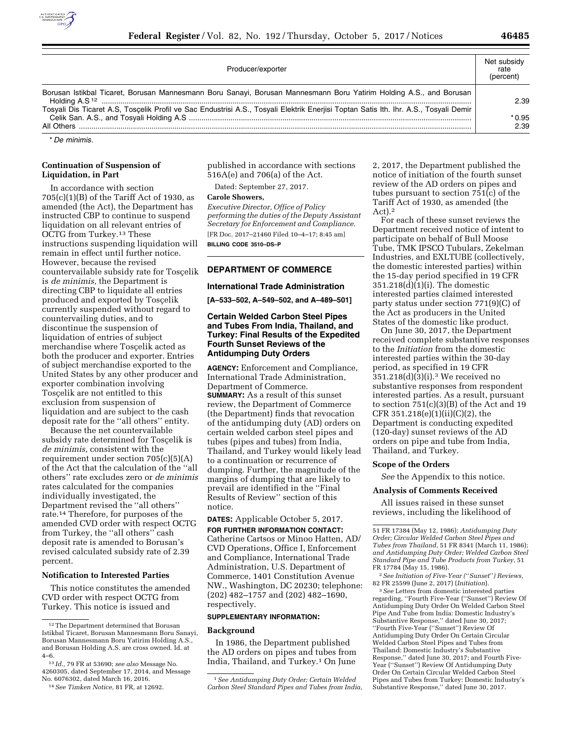

| Producer/exporter                                                                                                                     | Net subsidy<br>rate<br>(percent) |
|---------------------------------------------------------------------------------------------------------------------------------------|----------------------------------|
| Borusan Istikbal Ticaret, Borusan Mannesmann Boru Sanayi, Borusan Mannesmann Boru Yatirim Holding A.S., and Borusan                   | 2.39                             |
| Tosyali Dis Ticaret A.S, Tosçelik Profil ve Sac Endustrisi A.S., Tosyali Elektrik Enerjisi Toptan Satis Ith. Ihr. A.S., Tosyali Demir | $*0.95$<br>2.39                  |

\* *De minimis.* 

## **Continuation of Suspension of Liquidation, in Part**

In accordance with section  $705(c)(1)(B)$  of the Tariff Act of 1930, as amended (the Act), the Department has instructed CBP to continue to suspend liquidation on all relevant entries of OCTG from Turkey.13 These instructions suspending liquidation will remain in effect until further notice. However, because the revised countervailable subsidy rate for Tosçelik is *de minimis,* the Department is directing CBP to liquidate all entries produced and exported by Toscelik currently suspended without regard to countervailing duties, and to discontinue the suspension of liquidation of entries of subject merchandise where Tosçelik acted as both the producer and exporter. Entries of subject merchandise exported to the United States by any other producer and exporter combination involving Toscelik are not entitled to this exclusion from suspension of liquidation and are subject to the cash deposit rate for the ''all others'' entity.

Because the net countervailable subsidy rate determined for Toscelik is *de minimis,* consistent with the requirement under section 705(c)(5)(A) of the Act that the calculation of the ''all others'' rate excludes zero or *de minimis*  rates calculated for the companies individually investigated, the Department revised the ''all others'' rate.14 Therefore, for purposes of the amended CVD order with respect OCTG from Turkey, the ''all others'' cash deposit rate is amended to Borusan's revised calculated subsidy rate of 2.39 percent.

### **Notification to Interested Parties**

This notice constitutes the amended CVD order with respect OCTG from Turkey. This notice is issued and

published in accordance with sections 516A(e) and 706(a) of the Act.

Dated: September 27, 2017.

#### **Carole Showers,**

*Executive Director, Office of Policy performing the duties of the Deputy Assistant Secretary for Enforcement and Compliance.*  [FR Doc. 2017–21460 Filed 10–4–17; 8:45 am] **BILLING CODE 3510–DS–P** 

### **DEPARTMENT OF COMMERCE**

### **International Trade Administration**

**[A–533–502, A–549–502, and A–489–501]** 

## **Certain Welded Carbon Steel Pipes and Tubes From India, Thailand, and Turkey: Final Results of the Expedited Fourth Sunset Reviews of the Antidumping Duty Orders**

**AGENCY:** Enforcement and Compliance, International Trade Administration, Department of Commerce. **SUMMARY:** As a result of this sunset review, the Department of Commerce (the Department) finds that revocation of the antidumping duty (AD) orders on certain welded carbon steel pipes and tubes (pipes and tubes) from India, Thailand, and Turkey would likely lead to a continuation or recurrence of dumping. Further, the magnitude of the margins of dumping that are likely to prevail are identified in the ''Final Results of Review'' section of this notice.

**DATES:** Applicable October 5, 2017.

**FOR FURTHER INFORMATION CONTACT:**  Catherine Cartsos or Minoo Hatten, AD/ CVD Operations, Office I, Enforcement and Compliance, International Trade Administration, U.S. Department of Commerce, 1401 Constitution Avenue NW., Washington, DC 20230; telephone: (202) 482–1757 and (202) 482–1690, respectively.

# **SUPPLEMENTARY INFORMATION:**

## **Background**

In 1986, the Department published the AD orders on pipes and tubes from India, Thailand, and Turkey.1 On June

2, 2017, the Department published the notice of initiation of the fourth sunset review of the AD orders on pipes and tubes pursuant to section 751(c) of the Tariff Act of 1930, as amended (the Act).2

For each of these sunset reviews the Department received notice of intent to participate on behalf of Bull Moose Tube, TMK IPSCO Tubulars, Zekelman Industries, and EXLTUBE (collectively, the domestic interested parties) within the 15-day period specified in 19 CFR 351.218(d)(1)(i). The domestic interested parties claimed interested party status under section 771(9)(C) of the Act as producers in the United States of the domestic like product.

On June 30, 2017, the Department received complete substantive responses to the *Initiation* from the domestic interested parties within the 30-day period, as specified in 19 CFR 351.218(d)(3)(i).3 We received no substantive responses from respondent interested parties. As a result, pursuant to section 751(c)(3)(B) of the Act and 19 CFR  $351.218(e)(1)(ii)(C)(2)$ , the Department is conducting expedited (120-day) sunset reviews of the AD orders on pipe and tube from India, Thailand, and Turkey.

### **Scope of the Orders**

*See* the Appendix to this notice.

## **Analysis of Comments Received**

All issues raised in these sunset reviews, including the likelihood of

3*See* Letters from domestic interested parties regarding, ''Fourth Five-Year (''Sunset'') Review Of Antidumping Duty Order On Welded Carbon Steel Pipe And Tube from India: Domestic Industry's Substantive Response,'' dated June 30, 2017; ''Fourth Five-Year (''Sunset'') Review Of Antidumping Duty Order On Certain Circular Welded Carbon Steel Pipes and Tubes from Thailand: Domestic Industry's Substantive Response,'' dated June 30, 2017; and Fourth Five-Year (''Sunset'') Review Of Antidumping Duty Order On Certain Circular Welded Carbon Steel Pipes and Tubes from Turkey: Domestic Industry's Substantive Response,'' dated June 30, 2017.

<sup>12</sup>The Department determined that Borusan Istikbal Ticaret, Borusan Mannesmann Boru Sanayi, Borusan Mannesmann Boru Yatirim Holding A.S., and Borusan Holding A.S. are cross owned. Id. at 4–6.

<sup>13</sup> *Id.,* 79 FR at 53690; *see also* Message No. 4260305, dated September 17, 2014, and Message No. 6076302, dated March 16, 2016.

<sup>14</sup>*See Timken Notice,* 81 FR, at 12692.

<sup>1</sup>*See Antidumping Duty Order; Certain Welded Carbon Steel Standard Pipes and Tubes from India,* 

<sup>51</sup> FR 17384 (May 12, 1986); *Antidumping Duty Order; Circular Welded Carbon Steel Pipes and Tubes from Thailand,* 51 FR 8341 (March 11, 1986); *and Antidumping Duty Order; Welded Carbon Steel Standard Pipe and Tube Products from Turkey,* 51 FR 17784 (May 15, 1986).

<sup>2</sup>*See Initiation of Five-Year (*''*Sunset*''*) Reviews,*  82 FR 25599 (June 2, 2017) (*Initiation*).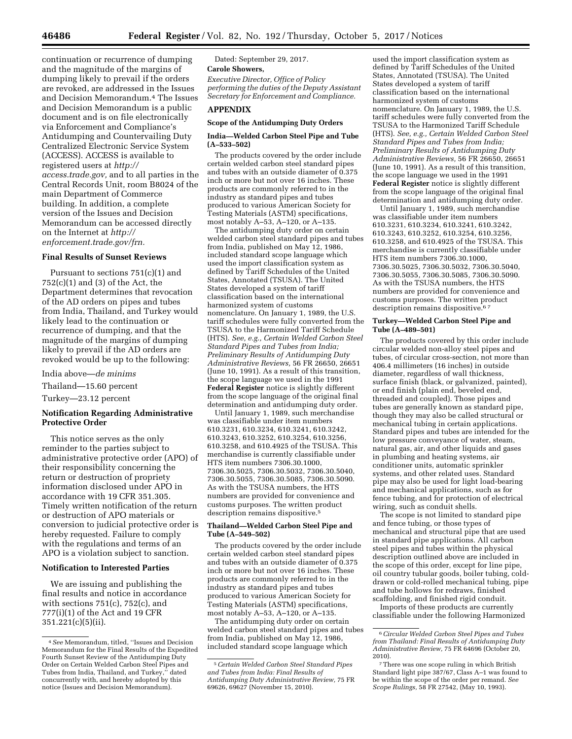continuation or recurrence of dumping and the magnitude of the margins of dumping likely to prevail if the orders are revoked, are addressed in the Issues and Decision Memorandum.4 The Issues and Decision Memorandum is a public document and is on file electronically via Enforcement and Compliance's Antidumping and Countervailing Duty Centralized Electronic Service System (ACCESS). ACCESS is available to registered users at *[http://](http://access.trade.gov) [access.trade.gov,](http://access.trade.gov)* and to all parties in the Central Records Unit, room B8024 of the main Department of Commerce building. In addition, a complete version of the Issues and Decision Memorandum can be accessed directly on the Internet at *[http://](http://enforcement.trade.gov/frn) [enforcement.trade.gov/frn.](http://enforcement.trade.gov/frn)* 

## **Final Results of Sunset Reviews**

Pursuant to sections 751(c)(1) and  $752(c)(1)$  and  $(3)$  of the Act, the Department determines that revocation of the AD orders on pipes and tubes from India, Thailand, and Turkey would likely lead to the continuation or recurrence of dumping, and that the magnitude of the margins of dumping likely to prevail if the AD orders are revoked would be up to the following:

India above—*de minims* 

Thailand—15.60 percent

Turkey—23.12 percent

## **Notification Regarding Administrative Protective Order**

This notice serves as the only reminder to the parties subject to administrative protective order (APO) of their responsibility concerning the return or destruction of propriety information disclosed under APO in accordance with 19 CFR 351.305. Timely written notification of the return or destruction of APO materials or conversion to judicial protective order is hereby requested. Failure to comply with the regulations and terms of an APO is a violation subject to sanction.

### **Notification to Interested Parties**

We are issuing and publishing the final results and notice in accordance with sections  $751(c)$ ,  $752(c)$ , and 777(i)(1) of the Act and 19 CFR  $351.221(c)(5)(ii)$ .

Dated: September 29, 2017.

## **Carole Showers,**

*Executive Director, Office of Policy performing the duties of the Deputy Assistant Secretary for Enforcement and Compliance.* 

# **APPENDIX**

## **Scope of the Antidumping Duty Orders**

## **India—Welded Carbon Steel Pipe and Tube (A–533–502)**

The products covered by the order include certain welded carbon steel standard pipes and tubes with an outside diameter of 0.375 inch or more but not over 16 inches. These products are commonly referred to in the industry as standard pipes and tubes produced to various American Society for Testing Materials (ASTM) specifications, most notably A–53, A–120, or A–135.

The antidumping duty order on certain welded carbon steel standard pipes and tubes from India, published on May 12, 1986, included standard scope language which used the import classification system as defined by Tariff Schedules of the United States, Annotated (TSUSA). The United States developed a system of tariff classification based on the international harmonized system of customs nomenclature. On January 1, 1989, the U.S. tariff schedules were fully converted from the TSUSA to the Harmonized Tariff Schedule (HTS). *See, e.g., Certain Welded Carbon Steel Standard Pipes and Tubes from India; Preliminary Results of Antidumping Duty Administrative Reviews,* 56 FR 26650, 26651 (June 10, 1991). As a result of this transition, the scope language we used in the 1991 **Federal Register** notice is slightly different from the scope language of the original final determination and antidumping duty order.

Until January 1, 1989, such merchandise was classifiable under item numbers 610.3231, 610.3234, 610.3241, 610.3242, 610.3243, 610.3252, 610.3254, 610.3256, 610.3258, and 610.4925 of the TSUSA. This merchandise is currently classifiable under HTS item numbers 7306.30.1000, 7306.30.5025, 7306.30.5032, 7306.30.5040, 7306.30.5055, 7306.30.5085, 7306.30.5090. As with the TSUSA numbers, the HTS numbers are provided for convenience and customs purposes. The written product description remains dispositive.<sup>5</sup>

### **Thailand—Welded Carbon Steel Pipe and Tube (A–549–502)**

The products covered by the order include certain welded carbon steel standard pipes and tubes with an outside diameter of 0.375 inch or more but not over 16 inches. These products are commonly referred to in the industry as standard pipes and tubes produced to various American Society for Testing Materials (ASTM) specifications, most notably A–53, A–120, or A–135.

The antidumping duty order on certain welded carbon steel standard pipes and tubes from India, published on May 12, 1986, included standard scope language which

used the import classification system as defined by Tariff Schedules of the United States, Annotated (TSUSA). The United States developed a system of tariff classification based on the international harmonized system of customs nomenclature. On January 1, 1989, the U.S. tariff schedules were fully converted from the TSUSA to the Harmonized Tariff Schedule (HTS). *See, e.g., Certain Welded Carbon Steel Standard Pipes and Tubes from India; Preliminary Results of Antidumping Duty Administrative Reviews,* 56 FR 26650, 26651 (June 10, 1991). As a result of this transition, the scope language we used in the 1991 **Federal Register** notice is slightly different from the scope language of the original final determination and antidumping duty order.

Until January 1, 1989, such merchandise was classifiable under item numbers 610.3231, 610.3234, 610.3241, 610.3242, 610.3243, 610.3252, 610.3254, 610.3256, 610.3258, and 610.4925 of the TSUSA. This merchandise is currently classifiable under HTS item numbers 7306.30.1000, 7306.30.5025, 7306.30.5032, 7306.30.5040, 7306.30.5055, 7306.30.5085, 7306.30.5090. As with the TSUSA numbers, the HTS numbers are provided for convenience and customs purposes. The written product description remains dispositive.<sup>67</sup>

### **Turkey—Welded Carbon Steel Pipe and Tube (A–489–501)**

The products covered by this order include circular welded non-alloy steel pipes and tubes, of circular cross-section, not more than 406.4 millimeters (16 inches) in outside diameter, regardless of wall thickness, surface finish (black, or galvanized, painted), or end finish (plain end, beveled end, threaded and coupled). Those pipes and tubes are generally known as standard pipe, though they may also be called structural or mechanical tubing in certain applications. Standard pipes and tubes are intended for the low pressure conveyance of water, steam, natural gas, air, and other liquids and gases in plumbing and heating systems, air conditioner units, automatic sprinkler systems, and other related uses. Standard pipe may also be used for light load-bearing and mechanical applications, such as for fence tubing, and for protection of electrical wiring, such as conduit shells.

The scope is not limited to standard pipe and fence tubing, or those types of mechanical and structural pipe that are used in standard pipe applications. All carbon steel pipes and tubes within the physical description outlined above are included in the scope of this order, except for line pipe, oil country tubular goods, boiler tubing, colddrawn or cold-rolled mechanical tubing, pipe and tube hollows for redraws, finished scaffolding, and finished rigid conduit.

Imports of these products are currently classifiable under the following Harmonized

<sup>4</sup>*See* Memorandum, titled, ''Issues and Decision Memorandum for the Final Results of the Expedited Fourth Sunset Review of the Antidumping Duty Order on Certain Welded Carbon Steel Pipes and Tubes from India, Thailand, and Turkey,'' dated concurrently with, and hereby adopted by this notice (Issues and Decision Memorandum).

<sup>5</sup>*Certain Welded Carbon Steel Standard Pipes and Tubes from India: Final Results of Antidumping Duty Administrative Review,* 75 FR 69626, 69627 (November 15, 2010).

<sup>6</sup>*Circular Welded Carbon Steel Pipes and Tubes from Thailand: Final Results of Antidumping Duty Administrative Review,* 75 FR 64696 (October 20, 2010).

<sup>7</sup>There was one scope ruling in which British Standard light pipe 387/67, Class A–1 was found to be within the scope of the order per remand. *See Scope Rulings,* 58 FR 27542, (May 10, 1993).